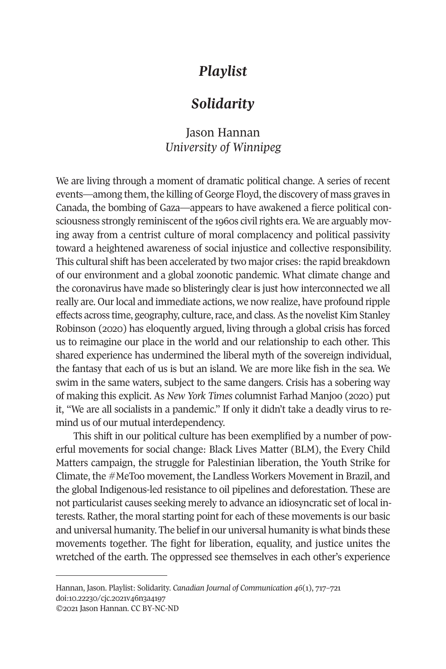# *Playlist*

# *Solidarity*

## Jason Hannan *University of Winnipeg*

We are living through a moment of dramatic political change. A series of recent events—among them, the killing of George Floyd, the discovery of mass graves in Canada, the bombing of Gaza—appears to have awakened a fierce political consciousness strongly reminiscent of the 1960s civil rights era. We are arguably moving away from a centrist culture of moral complacency and political passivity toward a heightened awareness of social injustice and collective responsibility. This cultural shift has been accelerated by two major crises: the rapid breakdown of our environment and a global zoonotic pandemic. What climate change and the coronavirus have made so blisteringly clear is just how interconnected we all really are. Our local and immediate actions, we now realize, have profound ripple effects across time, geography, culture, race, and class. As the novelist Kim Stanley Robinson (2020) has eloquently argued, living through a global crisis has forced us to reimagine our place in the world and our relationship to each other. This shared experience has undermined the liberal myth of the sovereign individual, the fantasy that each of us is but an island. We are more like fish in the sea. We swim in the same waters, subject to the same dangers. Crisis has a sobering way of making this explicit. As *New York Times* columnist Farhad Manjoo (2020) put it, "We are all socialists in a pandemic." If only it didn't take a deadly virus to remind us of our mutual interdependency.

This shift in our political culture has been exemplified by a number of powerful movements for social change: Black Lives Matter (BLM), the Every Child Matters campaign, the struggle for Palestinian liberation, the Youth Strike for Climate, the #MeToo movement, the Landless Workers Movement in Brazil, and the global Indigenous-led resistance to oil pipelines and deforestation. These are not particularist causes seeking merely to advance an idiosyncratic set of local interests. Rather, the moral starting point for each of these movements is our basic and universal humanity. The belief in our universal humanity is what binds these movements together. The fight for liberation, equality, and justice unites the wretched of the earth. The oppressed see themselves in each other's experience

Hannan, Jason. Playlist: Solidarity. *[Canadian Journal of Communication](http://www.cjc-online.ca) 46*(1), 717–721 doi[:10.22230/cjc.2021v46n3a4197](http://doi.org/10.22230/cjc.2021v46n3a4197)  ©2021 Jason Hannan. CC BY-NC-ND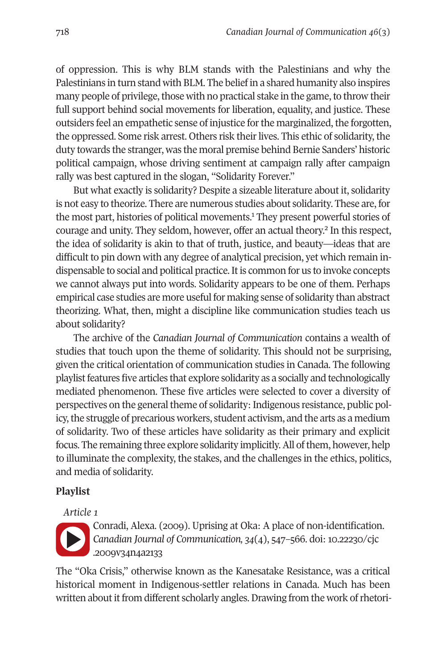of oppression. This is why BLM stands with the Palestinians and why the Palestinians in turn stand with BLM. The belief in a shared humanity also inspires many people of privilege, those with no practical stake in the game, to throw their full support behind social movements for liberation, equality, and justice. These outsiders feel an empathetic sense of injustice for the marginalized, the forgotten, the oppressed. Some risk arrest. Others risk their lives. This ethic of solidarity, the duty towards the stranger, was the moral premise behind Bernie Sanders' historic political campaign, whose driving sentiment at campaign rally after campaign rally was best captured in the slogan, "Solidarity Forever."

But what exactly is solidarity? Despite a sizeable literature about it, solidarity is not easy to theorize. There are numerous studies about solidarity. These are, for the most part, histories of political movements.<sup>1</sup> They present powerful stories of courage and unity. They seldom, however, offer an actual theor[y.2](#page-4-1) In this respect, the idea of solidarity is akin to that of truth, justice, and beauty—ideas that are difficult to pin down with any degree of analytical precision, yet which remain indispensable to social and political practice. It is common for us to invoke concepts we cannot always put into words. Solidarity appears to be one of them. Perhaps empirical case studies are more useful for making sense of solidarity than abstract theorizing. What, then, might a discipline like communication studies teach us about solidarity?

The archive of the *Canadian Journal of Communication* contains a wealth of studies that touch upon the theme of solidarity. This should not be surprising, given the critical orientation of communication studies in Canada. The following playlist features five articles that explore solidarity as a socially and technologically mediated phenomenon. These five articles were selected to cover a diversity of perspectives on the general theme of solidarity: Indigenous resistance, public policy, the struggle of precarious workers, student activism, and the arts as a medium of solidarity. Two of these articles have solidarity as their primary and explicit focus. The remaining three explore solidarity implicitly. All of them, however, help to illuminate the complexity, the stakes, and the challenges in the ethics, politics, and media of solidarity.

### **Playlist**

*Article 1* 



Conradi, Alexa. (2009). Uprising at Oka: A place of non-identification. *Canadian Journal of Communication, 34*(4), 547–566. doi: [10.22230/cjc](https://doi.org/10.22230/cjc.2009v34n4a2133)  [.2009v34n4a2133](https://doi.org/10.22230/cjc.2009v34n4a2133) 

The "Oka Crisis," otherwise known as the Kanesatake Resistance, was a critical historical moment in Indigenous-settler relations in Canada. Much has been written about it from different scholarly angles. Drawing from the work of rhetori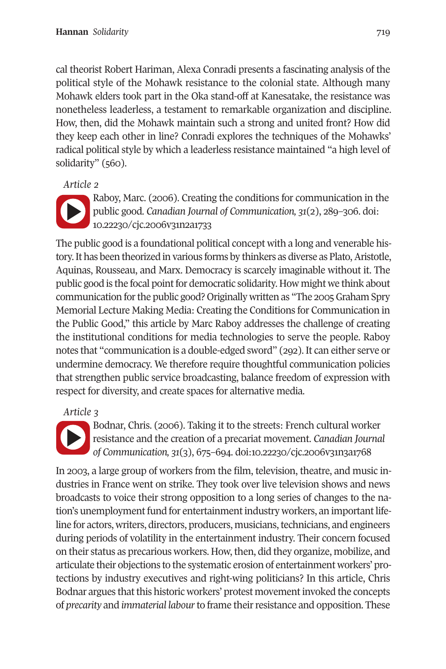cal theorist Robert Hariman, Alexa Conradi presents a fascinating analysis of the political style of the Mohawk resistance to the colonial state. Although many Mohawk elders took part in the Oka stand-off at Kanesatake, the resistance was nonetheless leaderless, a testament to remarkable organization and discipline. How, then, did the Mohawk maintain such a strong and united front? How did they keep each other in line? Conradi explores the techniques of the Mohawks' radical political style by which a leaderless resistance maintained "a high level of solidarity" (560).

*Article 2* 



Raboy, Marc. (2006). Creating the conditions for communication in the public good. *Canadian Journal of Communication, 31*(2), 289–306. doi: [10.22230/cjc.2006v31n2a1733](https://doi.org/10.22230/cjc.2006v31n2a1733) 

The public good is a foundational political concept with a long and venerable history. It has been theorized in various forms by thinkers as diverse as Plato, Aristotle, Aquinas, Rousseau, and Marx. Democracy is scarcely imaginable without it. The public good is the focal point for democratic solidarity. How might we think about communication for the public good? Originally written as "The 2005 Graham Spry Memorial Lecture Making Media: Creating the Conditions for Communication in the Public Good," this article by Marc Raboy addresses the challenge of creating the institutional conditions for media technologies to serve the people. Raboy notes that "communication is a double-edged sword" (292). It can either serve or undermine democracy. We therefore require thoughtful communication policies that strengthen public service broadcasting, balance freedom of expression with respect for diversity, and create spaces for alternative media.

### *Article 3*

Bodnar, Chris. (2006). Taking it to the streets: French cultural worker resistance and the creation of a precariat movement. *Canadian Journal of Communication, 31*(3), 675–694. doi[:10.22230/cjc.2006v31n3a1768](https://doi.org/10.22230/cjc.2006v31n3a1768) 

In 2003, a large group of workers from the film, television, theatre, and music industries in France went on strike. They took over live television shows and news broadcasts to voice their strong opposition to a long series of changes to the nation's unemployment fund for entertainment industry workers, an important lifeline for actors, writers, directors, producers, musicians, technicians, and engineers during periods of volatility in the entertainment industry. Their concern focused on their status as precarious workers. How, then, did they organize, mobilize, and articulate their objections to the systematic erosion of entertainment workers' protections by industry executives and right-wing politicians? In this article, Chris Bodnar argues that this historic workers' protest movement invoked the concepts of *precarity* and *immaterial labour* to frame their resistance and opposition. These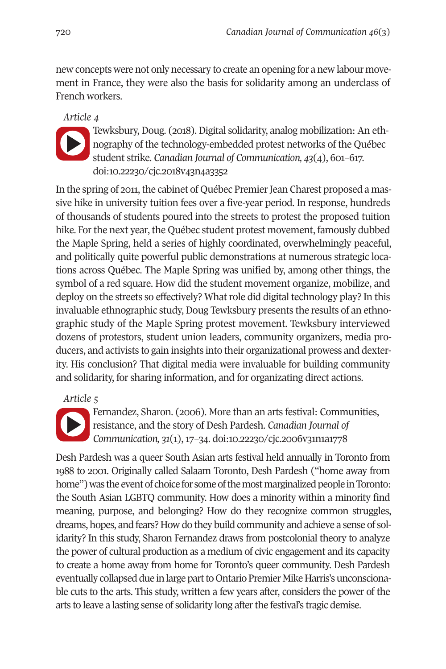new concepts were not only necessary to create an opening for a new labour movement in France, they were also the basis for solidarity among an underclass of French workers.

*Article 4* 



Tewksbury, Doug. (2018). Digital solidarity, analog mobilization: An ethnography of the technology-embedded protest networks of the Québec student strike. *Canadian Journal of Communication, 43*(4), 601–617. doi[:10.22230/cjc.2018v43n4a3352](https://doi.org/10.22230/cjc.2018v43n4a3352) 

In the spring of 2011, the cabinet of Québec Premier Jean Charest proposed a massive hike in university tuition fees over a five-year period. In response, hundreds of thousands of students poured into the streets to protest the proposed tuition hike. For the next year, the Québec student protest movement, famously dubbed the Maple Spring, held a series of highly coordinated, overwhelmingly peaceful, and politically quite powerful public demonstrations at numerous strategic locations across Québec. The Maple Spring was unified by, among other things, the symbol of a red square. How did the student movement organize, mobilize, and deploy on the streets so effectively? What role did digital technology play? In this invaluable ethnographic study, Doug Tewksbury presents the results of an ethnographic study of the Maple Spring protest movement. Tewksbury interviewed dozens of protestors, student union leaders, community organizers, media producers, and activists to gain insights into their organizational prowess and dexterity. His conclusion? That digital media were invaluable for building community and solidarity, for sharing information, and for organizating direct actions.

## *Article 5*



Fernandez, Sharon. (2006). More than an arts festival: Communities, resistance, and the story of Desh Pardesh. *Canadian Journal of Communication, 31*(1), 17–34. doi[:10.22230/cjc.2006v31n1a1778](https://doi.org/10.22230/cjc.2006v31n1a1778) 

Desh Pardesh was a queer South Asian arts festival held annually in Toronto from 1988 to 2001. Originally called Salaam Toronto, Desh Pardesh ("home away from home") was the event of choice for some of the most marginalized people in Toronto: the South Asian LGBTQ community. How does a minority within a minority find meaning, purpose, and belonging? How do they recognize common struggles, dreams, hopes, and fears? How do they build community and achieve a sense of solidarity? In this study, Sharon Fernandez draws from postcolonial theory to analyze the power of cultural production as a medium of civic engagement and its capacity to create a home away from home for Toronto's queer community. Desh Pardesh eventually collapsed due in large part to Ontario Premier Mike Harris's unconscionable cuts to the arts. This study, written a few years after, considers the power of the arts to leave a lasting sense of solidarity long after the festival's tragic demise.